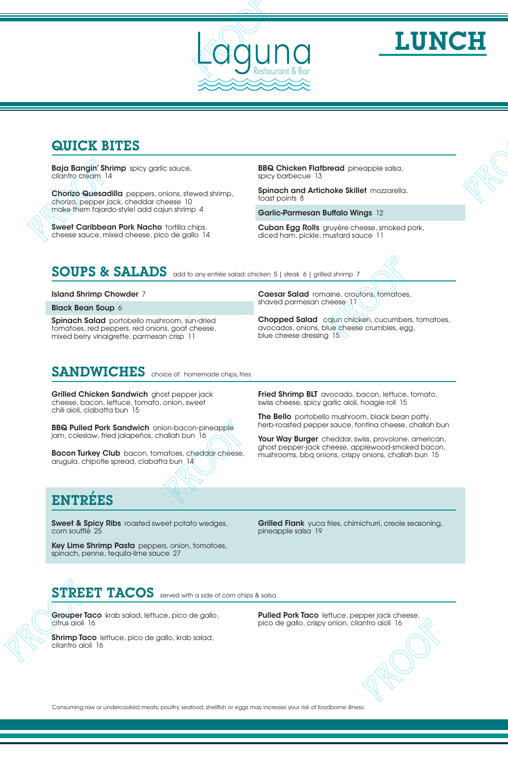



#### QUICK BITES

Baja Bangin' Shrimp spicy garlic sauce, cilantro cream 14

Chorizo Quesadilla peppers, onions, stewed shrimp, chorizo, pepper jack, cheddar cheese 10 make them fajardo-style! add cajun shrimp 4 **QUICK BITES**<br> **PROOF PROOF PROOF PROOF PROOF PROOF PROOF PROOF PROOF PROOF PROOF PROOF PROOF PROOF PROOF PROOF PROOF PROOF PROOF PROOF PROOF PROOF PROOF PROOF PROOF PROOF PROOF PROOF PROOF PROOF PROOF PROOF PROOF PROOF PR** 

Sweet Caribbean Pork Nacho tortilla chips, cheese sauce, mixed cheese, pico de gallo 14

**BBQ Chicken Flatbread** pineapple salsa, spicy barbecue 13

Spinach and Artichoke Skillet mozzarella, toast points 8

Garlic-Parmesan Buffalo Wings 12

Cuban Egg Rolls gruyère cheese, smoked pork, diced ham, pickle, mustard sauce 11

### SOUPS & SALADS add to any entrée salad: chicken 5 | steak 6 | grilled shrimp 7

Island Shrimp Chowder 7

Black Bean Soup 6

Spinach Salad portobello mushroom, sun-dried tomatoes, red peppers, red onions, goat cheese, mixed berry vinaigrette, parmesan crisp 11

Caesar Salad romaine, croutons, tomatoes, shaved parmesan cheese 11

Chopped Salad cajun chicken, cucumbers, tomatoes, avocados, onions, blue cheese crumbles, egg, blue cheese dressing 15

## SANDWICHES choice of: homemade chips, fries

Grilled Chicken Sandwich ghost pepper jack cheese, bacon, lettuce, tomato, onion, sweet chili aioli, ciabatta bun 15

BBQ Pulled Pork Sandwich onion-bacon-pineapple jam, coleslaw, fried jalapeños, challah bun 16

**Bacon Turkey Club** bacon, tomatoes, cheddar cheese, arugula, chipotle spread, ciabatta bun 14

**Fried Shrimp BLT** avocado, bacon, lettuce, tomato, swiss cheese, spicy garlic aioli, hoagie roll 15

The Bello portobello mushroom, black bean patty, herb-roasted pepper sauce, fontina cheese, challah bun

Your Way Burger cheddar, swiss, provolone, american, ghost pepper-jack cheese, applewood-smoked bacon, mushrooms, bbq onions, crispy onions, challah bun 15 **QUICK BITES<br>
Belgi Bangin Birimpi de vi parti cause<br>
Christian Biris de vi parti cause de la Christian Biris de Victor de Victor de Victor de Victor de Victor de Victor de Victor de Victor de Victor de Victor de Victor d** nocides and the chemical control control control control control control control control control control control control control control control control control control control control control control control control contr

## ENTREES

**Sweet & Spicy Ribs** roasted sweet potato wedges, corn soufflé 25

Key Lime Shrimp Pasta peppers, onion, tomatoes, spinach, penne, tequila-lime sauce 27

Grilled Flank yuca fries, chimichurri, creole seasoning, pineapple salsa 19 e seasoning,<br>
eese,<br>
eese,<br>
,

# STREET TACOS served with a side of corn chips & salsa

Grouper Taco krab salad, lettuce, pico de gallo, citrus aioli 16

Shrimp Taco lettuce, pico de gallo, krab salad, cilantro aioli 16

**Pulled Pork Taco** lettuce, pepper jack cheese, pico de gallo, crispy onion, cilantro aioli 16

Consuming raw or undercooked meats, poultry, seafood, shellfish or eggs may increase your risk of foodborne illness.